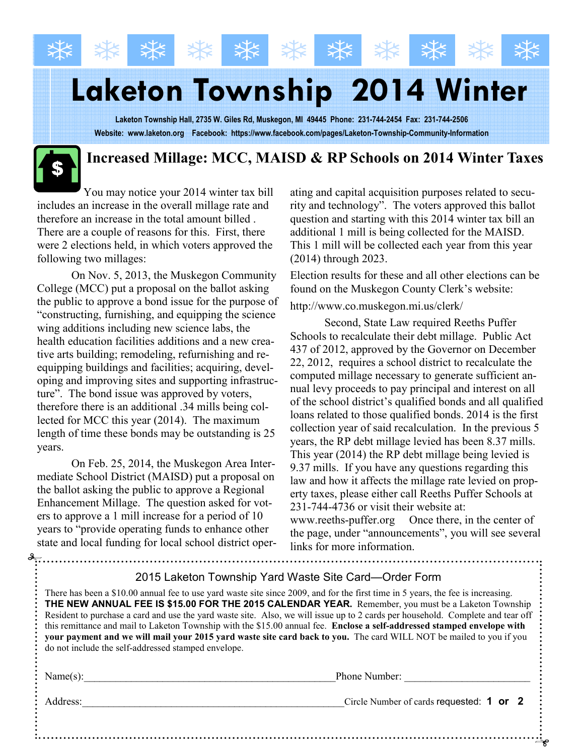# Laketon Township 2014 Winter

Laketon Township Hall, 2735 W. Giles Rd, Muskegon, MI 49445 Phone: 231-744-2454 Fax: 231-744-2506 Website: www.laketon.org Facebook: https://www.facebook.com/pages/Laketon-Township-Community-Information

#### Increased Millage: MCC, MAISD & RP Schools on 2014 Winter Taxes

You may notice your 2014 winter tax bill includes an increase in the overall millage rate and therefore an increase in the total amount billed . There are a couple of reasons for this. First, there were 2 elections held, in which voters approved the following two millages:

 On Nov. 5, 2013, the Muskegon Community College (MCC) put a proposal on the ballot asking the public to approve a bond issue for the purpose of "constructing, furnishing, and equipping the science wing additions including new science labs, the health education facilities additions and a new creative arts building; remodeling, refurnishing and reequipping buildings and facilities; acquiring, developing and improving sites and supporting infrastructure". The bond issue was approved by voters, therefore there is an additional .34 mills being collected for MCC this year (2014). The maximum length of time these bonds may be outstanding is 25 years.

 On Feb. 25, 2014, the Muskegon Area Intermediate School District (MAISD) put a proposal on the ballot asking the public to approve a Regional Enhancement Millage. The question asked for voters to approve a 1 mill increase for a period of 10 years to "provide operating funds to enhance other state and local funding for local school district operating and capital acquisition purposes related to security and technology". The voters approved this ballot question and starting with this 2014 winter tax bill an additional 1 mill is being collected for the MAISD. This 1 mill will be collected each year from this year (2014) through 2023.

Election results for these and all other elections can be found on the Muskegon County Clerk's website:

#### http://www.co.muskegon.mi.us/clerk/

 Second, State Law required Reeths Puffer Schools to recalculate their debt millage. Public Act 437 of 2012, approved by the Governor on December 22, 2012, requires a school district to recalculate the computed millage necessary to generate sufficient annual levy proceeds to pay principal and interest on all of the school district's qualified bonds and all qualified loans related to those qualified bonds. 2014 is the first collection year of said recalculation. In the previous 5 years, the RP debt millage levied has been 8.37 mills. This year (2014) the RP debt millage being levied is 9.37 mills. If you have any questions regarding this law and how it affects the millage rate levied on property taxes, please either call Reeths Puffer Schools at 231-744-4736 or visit their website at:

www.reeths-puffer.org Once there, in the center of the page, under "announcements", you will see several links for more information.

| 2015 Laketon Township Yard Waste Site Card—Order Form                                                                                                                                                                                                                                                                                                                                                                                                                                                                                                                                                                                                                               |                                          |
|-------------------------------------------------------------------------------------------------------------------------------------------------------------------------------------------------------------------------------------------------------------------------------------------------------------------------------------------------------------------------------------------------------------------------------------------------------------------------------------------------------------------------------------------------------------------------------------------------------------------------------------------------------------------------------------|------------------------------------------|
| There has been a \$10.00 annual fee to use yard waste site since 2009, and for the first time in 5 years, the fee is increasing.<br>THE NEW ANNUAL FEE IS \$15.00 FOR THE 2015 CALENDAR YEAR. Remember, you must be a Laketon Township<br>Resident to purchase a card and use the yard waste site. Also, we will issue up to 2 cards per household. Complete and tear off<br>this remittance and mail to Laketon Township with the \$15.00 annual fee. Enclose a self-addressed stamped envelope with<br>your payment and we will mail your 2015 yard waste site card back to you. The card WILL NOT be mailed to you if you<br>do not include the self-addressed stamped envelope. |                                          |
| Name(s):                                                                                                                                                                                                                                                                                                                                                                                                                                                                                                                                                                                                                                                                            | Phone Number:                            |
| Address:                                                                                                                                                                                                                                                                                                                                                                                                                                                                                                                                                                                                                                                                            | Circle Number of cards requested: 1 or 2 |
|                                                                                                                                                                                                                                                                                                                                                                                                                                                                                                                                                                                                                                                                                     |                                          |